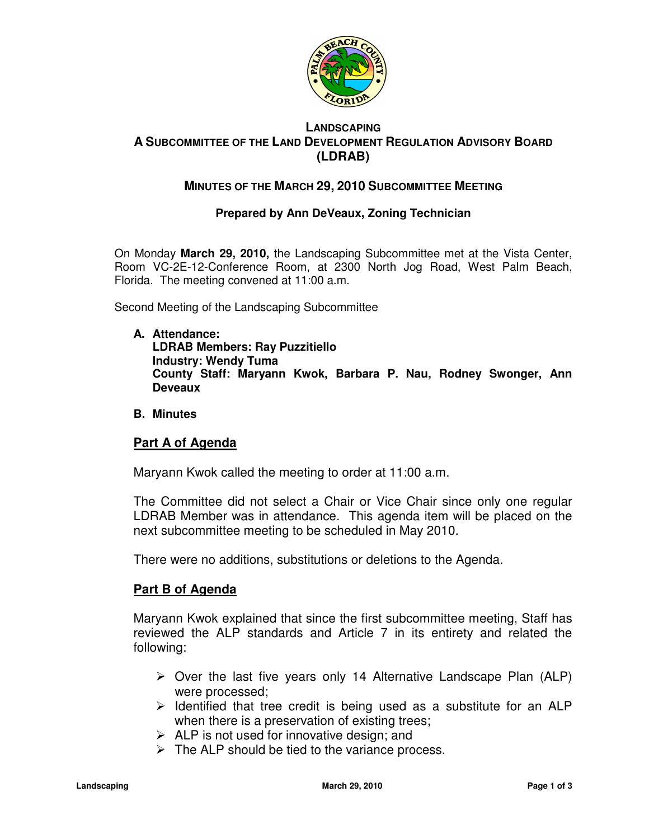

## **LANDSCAPING A SUBCOMMITTEE OF THE LAND DEVELOPMENT REGULATION ADVISORY BOARD (LDRAB)**

# **MINUTES OF THE MARCH 29, 2010 SUBCOMMITTEE MEETING**

## **Prepared by Ann DeVeaux, Zoning Technician**

On Monday **March 29, 2010,** the Landscaping Subcommittee met at the Vista Center, Room VC-2E-12-Conference Room, at 2300 North Jog Road, West Palm Beach, Florida. The meeting convened at 11:00 a.m.

Second Meeting of the Landscaping Subcommittee

**A. Attendance:** 

**LDRAB Members: Ray Puzzitiello Industry: Wendy Tuma County Staff: Maryann Kwok, Barbara P. Nau, Rodney Swonger, Ann Deveaux** 

**B. Minutes** 

### **Part A of Agenda**

Maryann Kwok called the meeting to order at 11:00 a.m.

The Committee did not select a Chair or Vice Chair since only one regular LDRAB Member was in attendance. This agenda item will be placed on the next subcommittee meeting to be scheduled in May 2010.

There were no additions, substitutions or deletions to the Agenda.

### **Part B of Agenda**

Maryann Kwok explained that since the first subcommittee meeting, Staff has reviewed the ALP standards and Article 7 in its entirety and related the following:

- $\triangleright$  Over the last five years only 14 Alternative Landscape Plan (ALP) were processed;
- $\triangleright$  Identified that tree credit is being used as a substitute for an ALP when there is a preservation of existing trees;
- $\triangleright$  ALP is not used for innovative design; and
- $\triangleright$  The ALP should be tied to the variance process.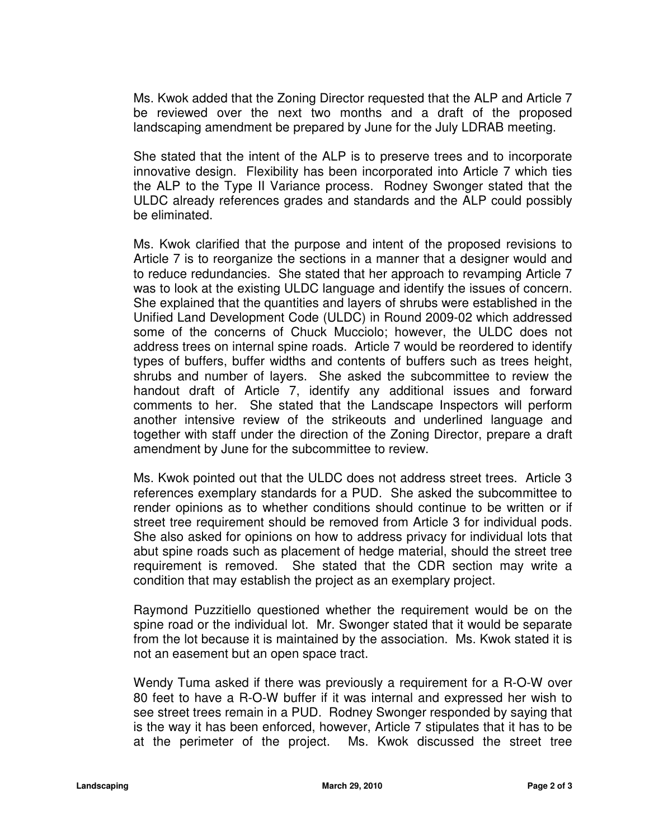Ms. Kwok added that the Zoning Director requested that the ALP and Article 7 be reviewed over the next two months and a draft of the proposed landscaping amendment be prepared by June for the July LDRAB meeting.

She stated that the intent of the ALP is to preserve trees and to incorporate innovative design. Flexibility has been incorporated into Article 7 which ties the ALP to the Type II Variance process. Rodney Swonger stated that the ULDC already references grades and standards and the ALP could possibly be eliminated.

Ms. Kwok clarified that the purpose and intent of the proposed revisions to Article 7 is to reorganize the sections in a manner that a designer would and to reduce redundancies. She stated that her approach to revamping Article 7 was to look at the existing ULDC language and identify the issues of concern. She explained that the quantities and layers of shrubs were established in the Unified Land Development Code (ULDC) in Round 2009-02 which addressed some of the concerns of Chuck Mucciolo; however, the ULDC does not address trees on internal spine roads. Article 7 would be reordered to identify types of buffers, buffer widths and contents of buffers such as trees height, shrubs and number of layers. She asked the subcommittee to review the handout draft of Article 7, identify any additional issues and forward comments to her. She stated that the Landscape Inspectors will perform another intensive review of the strikeouts and underlined language and together with staff under the direction of the Zoning Director, prepare a draft amendment by June for the subcommittee to review.

Ms. Kwok pointed out that the ULDC does not address street trees. Article 3 references exemplary standards for a PUD. She asked the subcommittee to render opinions as to whether conditions should continue to be written or if street tree requirement should be removed from Article 3 for individual pods. She also asked for opinions on how to address privacy for individual lots that abut spine roads such as placement of hedge material, should the street tree requirement is removed. She stated that the CDR section may write a condition that may establish the project as an exemplary project.

Raymond Puzzitiello questioned whether the requirement would be on the spine road or the individual lot. Mr. Swonger stated that it would be separate from the lot because it is maintained by the association. Ms. Kwok stated it is not an easement but an open space tract.

Wendy Tuma asked if there was previously a requirement for a R-O-W over 80 feet to have a R-O-W buffer if it was internal and expressed her wish to see street trees remain in a PUD. Rodney Swonger responded by saying that is the way it has been enforced, however, Article 7 stipulates that it has to be at the perimeter of the project. Ms. Kwok discussed the street tree